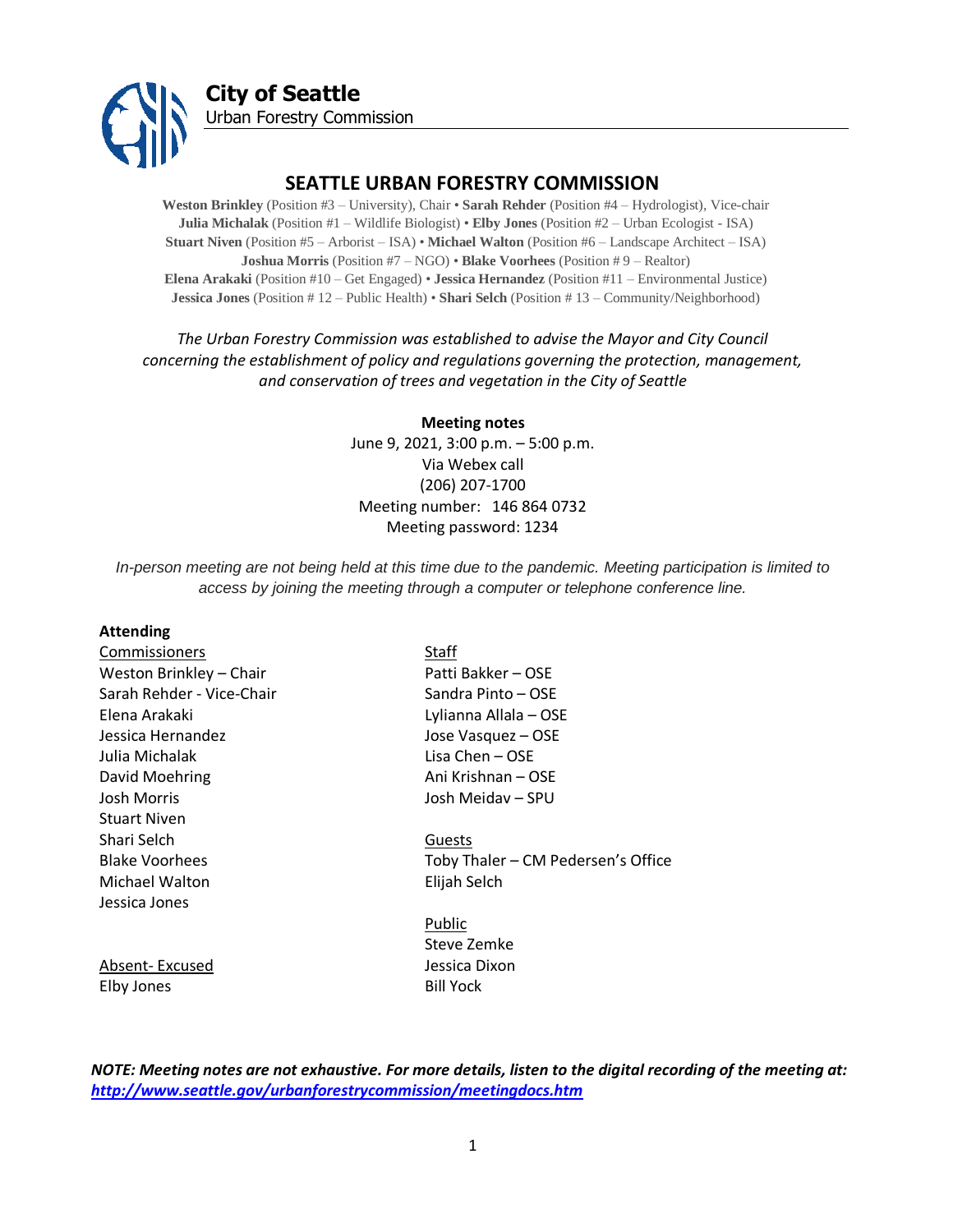

# **SEATTLE URBAN FORESTRY COMMISSION**

**Weston Brinkley** (Position #3 – University), Chair • **Sarah Rehder** (Position #4 – Hydrologist), Vice-chair **Julia Michalak** (Position #1 – Wildlife Biologist) • **Elby Jones** (Position #2 – Urban Ecologist - ISA) **Stuart Niven** (Position #5 – Arborist – ISA) • **Michael Walton** (Position #6 – Landscape Architect – ISA) **Joshua Morris** (Position #7 – NGO) • **Blake Voorhees** (Position # 9 – Realtor) **Elena Arakaki** (Position #10 – Get Engaged) • **Jessica Hernandez** (Position #11 – Environmental Justice) **Jessica Jones** (Position # 12 – Public Health) • **Shari Selch** (Position # 13 – Community/Neighborhood)

## *The Urban Forestry Commission was established to advise the Mayor and City Council concerning the establishment of policy and regulations governing the protection, management, and conservation of trees and vegetation in the City of Seattle*

**Meeting notes** June 9, 2021, 3:00 p.m. – 5:00 p.m. Via Webex call (206) 207-1700 Meeting number: 146 864 0732 Meeting password: 1234

*In-person meeting are not being held at this time due to the pandemic. Meeting participation is limited to access by joining the meeting through a computer or telephone conference line.*

#### **Attending**

| Commissioners             | Staff                              |
|---------------------------|------------------------------------|
| Weston Brinkley - Chair   | Patti Bakker – OSE                 |
| Sarah Rehder - Vice-Chair | Sandra Pinto – OSE                 |
| Elena Arakaki             | Lylianna Allala - OSE              |
| Jessica Hernandez         | Jose Vasquez - OSE                 |
| Julia Michalak            | Lisa Chen – OSE                    |
| David Moehring            | Ani Krishnan – OSE                 |
| Josh Morris               | Josh Meidav – SPU                  |
| <b>Stuart Niven</b>       |                                    |
| Shari Selch               | Guests                             |
| <b>Blake Voorhees</b>     | Toby Thaler - CM Pedersen's Office |
| Michael Walton            | Elijah Selch                       |
| Jessica Jones             |                                    |
|                           | Public                             |
|                           | Steve Zemke                        |
| Absent-Excused            | Jessica Dixon                      |
| Elby Jones                | <b>Bill Yock</b>                   |

*NOTE: Meeting notes are not exhaustive. For more details, listen to the digital recording of the meeting at: <http://www.seattle.gov/urbanforestrycommission/meetingdocs.htm>*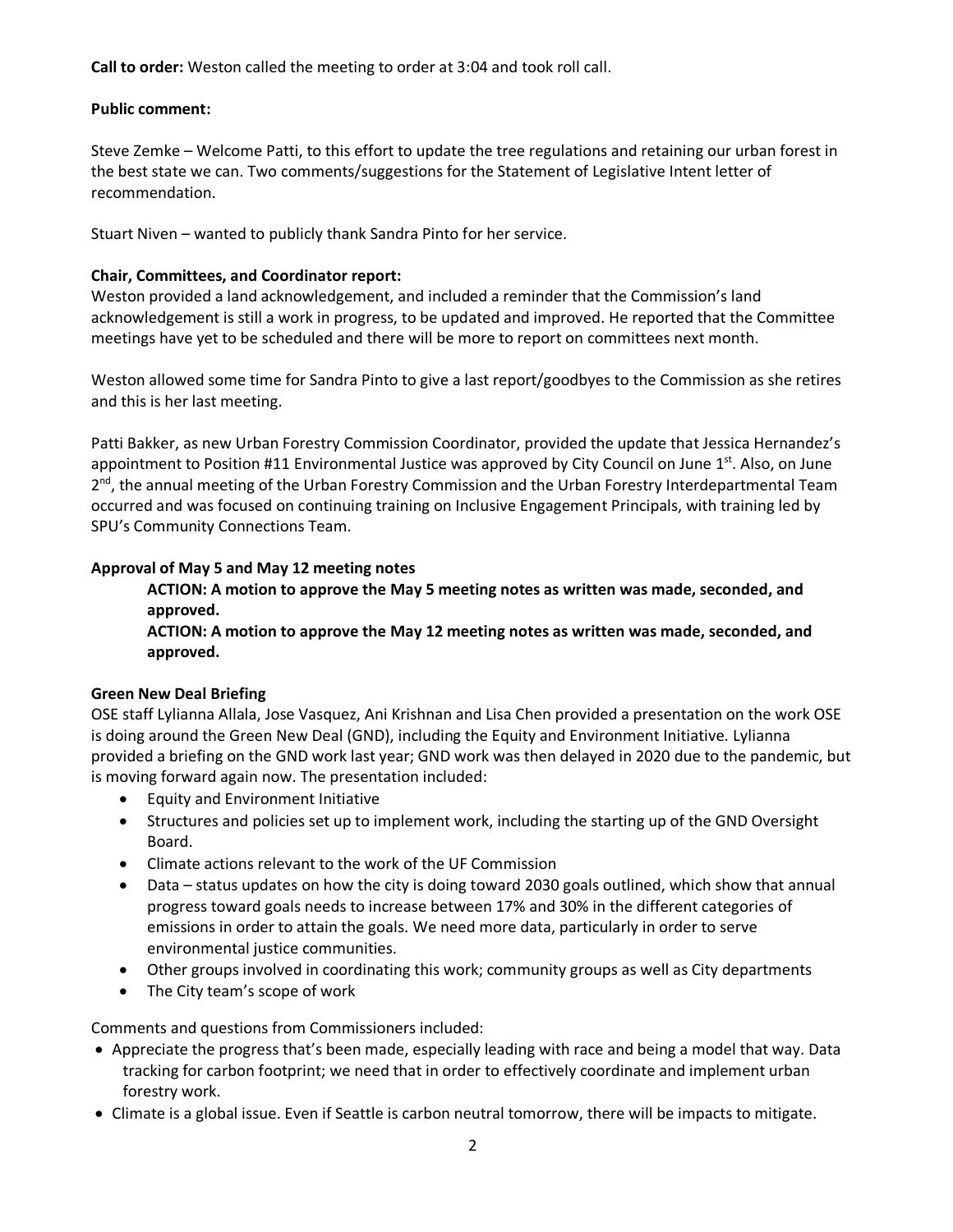**Call to order:** Weston called the meeting to order at 3:04 and took roll call.

#### **Public comment:**

Steve Zemke – Welcome Patti, to this effort to update the tree regulations and retaining our urban forest in the best state we can. Two comments/suggestions for the Statement of Legislative Intent letter of recommendation.

Stuart Niven – wanted to publicly thank Sandra Pinto for her service.

### **Chair, Committees, and Coordinator report:**

Weston provided a land acknowledgement, and included a reminder that the Commission's land acknowledgement is still a work in progress, to be updated and improved. He reported that the Committee meetings have yet to be scheduled and there will be more to report on committees next month.

Weston allowed some time for Sandra Pinto to give a last report/goodbyes to the Commission as she retires and this is her last meeting.

Patti Bakker, as new Urban Forestry Commission Coordinator, provided the update that Jessica Hernandez's appointment to Position #11 Environmental Justice was approved by City Council on June 1<sup>st</sup>. Also, on June 2<sup>nd</sup>, the annual meeting of the Urban Forestry Commission and the Urban Forestry Interdepartmental Team occurred and was focused on continuing training on Inclusive Engagement Principals, with training led by SPU's Community Connections Team.

#### **Approval of May 5 and May 12 meeting notes**

**ACTION: A motion to approve the May 5 meeting notes as written was made, seconded, and approved.** 

**ACTION: A motion to approve the May 12 meeting notes as written was made, seconded, and approved.** 

#### **Green New Deal Briefing**

OSE staff Lylianna Allala, Jose Vasquez, Ani Krishnan and Lisa Chen provided a presentation on the work OSE is doing around the Green New Deal (GND), including the Equity and Environment Initiative. Lylianna provided a briefing on the GND work last year; GND work was then delayed in 2020 due to the pandemic, but is moving forward again now. The presentation included:

- Equity and Environment Initiative
- Structures and policies set up to implement work, including the starting up of the GND Oversight Board.
- Climate actions relevant to the work of the UF Commission
- Data status updates on how the city is doing toward 2030 goals outlined, which show that annual progress toward goals needs to increase between 17% and 30% in the different categories of emissions in order to attain the goals. We need more data, particularly in order to serve environmental justice communities.
- Other groups involved in coordinating this work; community groups as well as City departments
- The City team's scope of work

Comments and questions from Commissioners included:

- Appreciate the progress that's been made, especially leading with race and being a model that way. Data tracking for carbon footprint; we need that in order to effectively coordinate and implement urban forestry work.
- Climate is a global issue. Even if Seattle is carbon neutral tomorrow, there will be impacts to mitigate.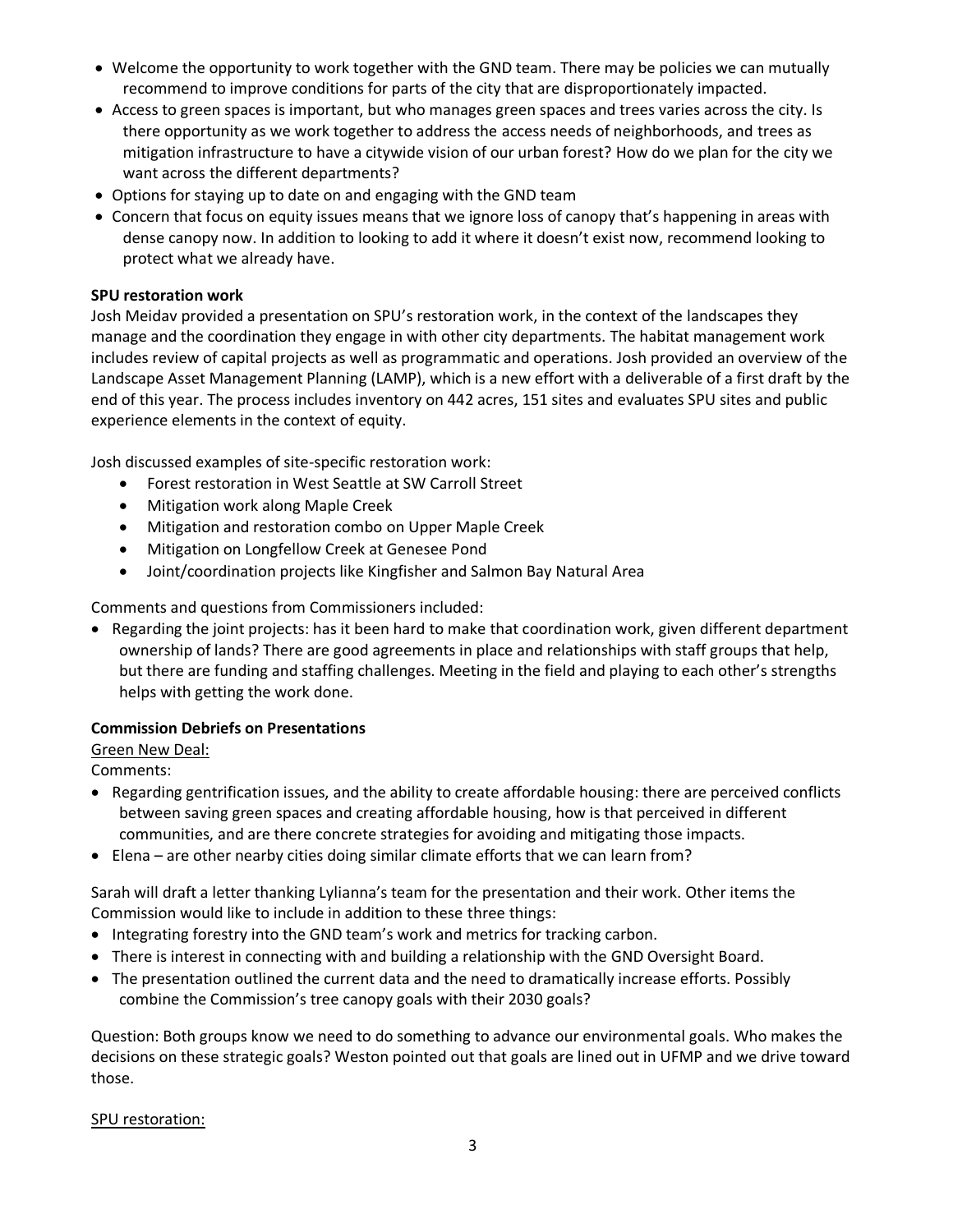- Welcome the opportunity to work together with the GND team. There may be policies we can mutually recommend to improve conditions for parts of the city that are disproportionately impacted.
- Access to green spaces is important, but who manages green spaces and trees varies across the city. Is there opportunity as we work together to address the access needs of neighborhoods, and trees as mitigation infrastructure to have a citywide vision of our urban forest? How do we plan for the city we want across the different departments?
- Options for staying up to date on and engaging with the GND team
- Concern that focus on equity issues means that we ignore loss of canopy that's happening in areas with dense canopy now. In addition to looking to add it where it doesn't exist now, recommend looking to protect what we already have.

### **SPU restoration work**

Josh Meidav provided a presentation on SPU's restoration work, in the context of the landscapes they manage and the coordination they engage in with other city departments. The habitat management work includes review of capital projects as well as programmatic and operations. Josh provided an overview of the Landscape Asset Management Planning (LAMP), which is a new effort with a deliverable of a first draft by the end of this year. The process includes inventory on 442 acres, 151 sites and evaluates SPU sites and public experience elements in the context of equity.

Josh discussed examples of site-specific restoration work:

- Forest restoration in West Seattle at SW Carroll Street
- Mitigation work along Maple Creek
- Mitigation and restoration combo on Upper Maple Creek
- Mitigation on Longfellow Creek at Genesee Pond
- Joint/coordination projects like Kingfisher and Salmon Bay Natural Area

Comments and questions from Commissioners included:

• Regarding the joint projects: has it been hard to make that coordination work, given different department ownership of lands? There are good agreements in place and relationships with staff groups that help, but there are funding and staffing challenges. Meeting in the field and playing to each other's strengths helps with getting the work done.

## **Commission Debriefs on Presentations**

Green New Deal:

Comments:

- Regarding gentrification issues, and the ability to create affordable housing: there are perceived conflicts between saving green spaces and creating affordable housing, how is that perceived in different communities, and are there concrete strategies for avoiding and mitigating those impacts.
- Elena are other nearby cities doing similar climate efforts that we can learn from?

Sarah will draft a letter thanking Lylianna's team for the presentation and their work. Other items the Commission would like to include in addition to these three things:

- Integrating forestry into the GND team's work and metrics for tracking carbon.
- There is interest in connecting with and building a relationship with the GND Oversight Board.
- The presentation outlined the current data and the need to dramatically increase efforts. Possibly combine the Commission's tree canopy goals with their 2030 goals?

Question: Both groups know we need to do something to advance our environmental goals. Who makes the decisions on these strategic goals? Weston pointed out that goals are lined out in UFMP and we drive toward those.

SPU restoration: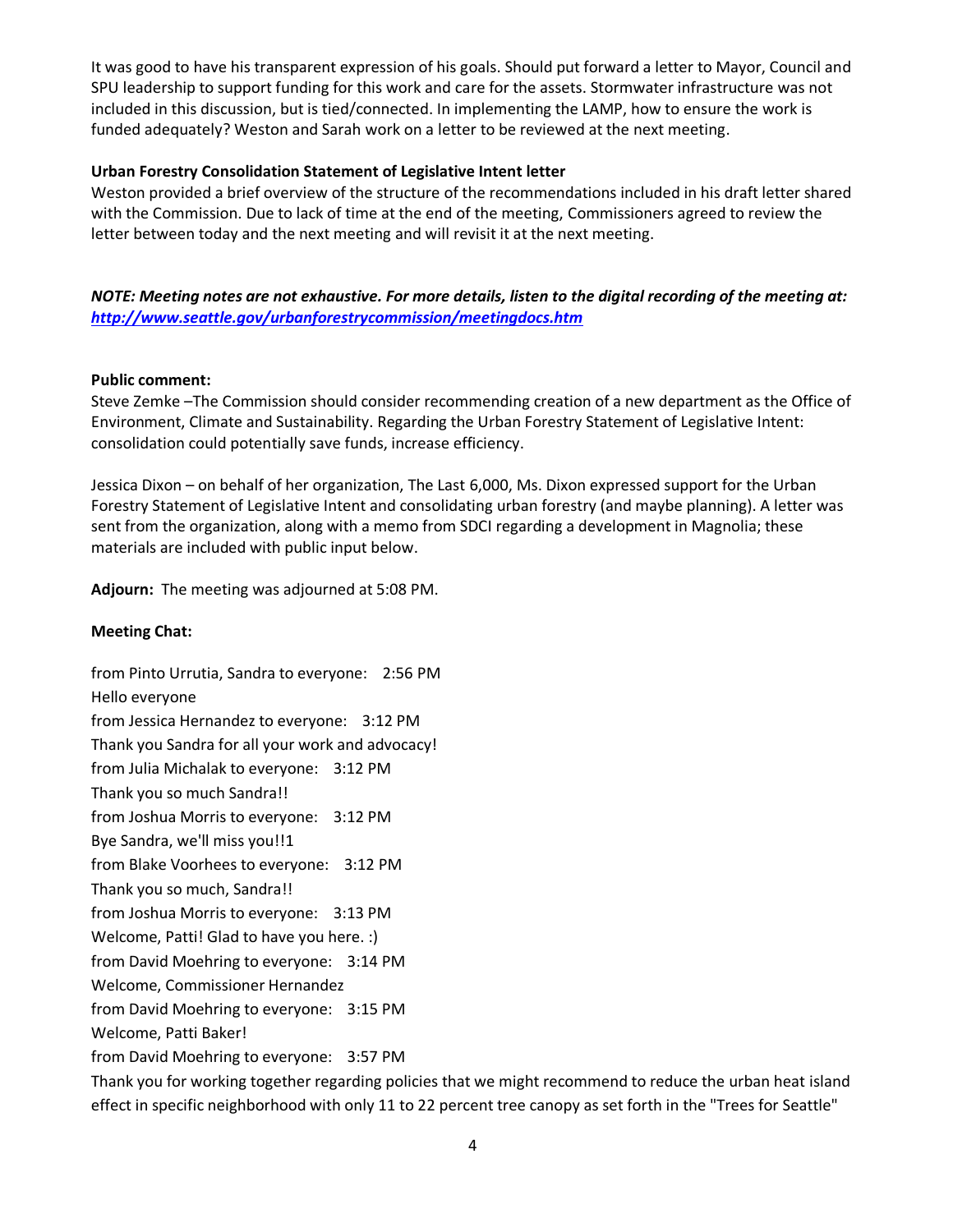It was good to have his transparent expression of his goals. Should put forward a letter to Mayor, Council and SPU leadership to support funding for this work and care for the assets. Stormwater infrastructure was not included in this discussion, but is tied/connected. In implementing the LAMP, how to ensure the work is funded adequately? Weston and Sarah work on a letter to be reviewed at the next meeting.

### **Urban Forestry Consolidation Statement of Legislative Intent letter**

Weston provided a brief overview of the structure of the recommendations included in his draft letter shared with the Commission. Due to lack of time at the end of the meeting, Commissioners agreed to review the letter between today and the next meeting and will revisit it at the next meeting.

*NOTE: Meeting notes are not exhaustive. For more details, listen to the digital recording of the meeting at: <http://www.seattle.gov/urbanforestrycommission/meetingdocs.htm>*

#### **Public comment:**

Steve Zemke –The Commission should consider recommending creation of a new department as the Office of Environment, Climate and Sustainability. Regarding the Urban Forestry Statement of Legislative Intent: consolidation could potentially save funds, increase efficiency.

Jessica Dixon – on behalf of her organization, The Last 6,000, Ms. Dixon expressed support for the Urban Forestry Statement of Legislative Intent and consolidating urban forestry (and maybe planning). A letter was sent from the organization, along with a memo from SDCI regarding a development in Magnolia; these materials are included with public input below.

**Adjourn:** The meeting was adjourned at 5:08 PM.

## **Meeting Chat:**

from Pinto Urrutia, Sandra to everyone: 2:56 PM Hello everyone from Jessica Hernandez to everyone: 3:12 PM Thank you Sandra for all your work and advocacy! from Julia Michalak to everyone: 3:12 PM Thank you so much Sandra!! from Joshua Morris to everyone: 3:12 PM Bye Sandra, we'll miss you!!1 from Blake Voorhees to everyone: 3:12 PM Thank you so much, Sandra!! from Joshua Morris to everyone: 3:13 PM Welcome, Patti! Glad to have you here. :) from David Moehring to everyone: 3:14 PM Welcome, Commissioner Hernandez from David Moehring to everyone: 3:15 PM Welcome, Patti Baker! from David Moehring to everyone: 3:57 PM

Thank you for working together regarding policies that we might recommend to reduce the urban heat island effect in specific neighborhood with only 11 to 22 percent tree canopy as set forth in the "Trees for Seattle"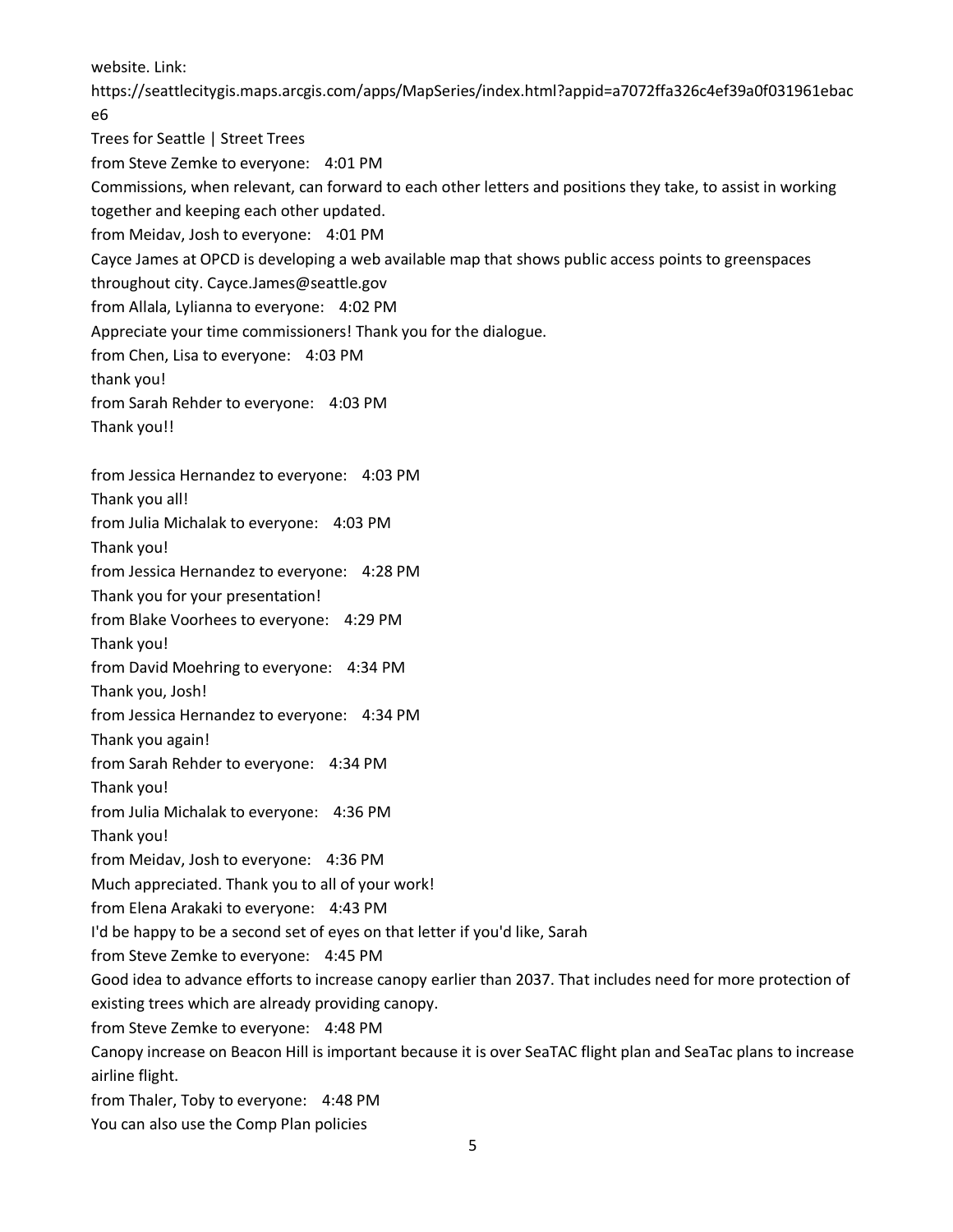website. Link:

https://seattlecitygis.maps.arcgis.com/apps/MapSeries/index.html?appid=a7072ffa326c4ef39a0f031961ebac e6

Trees for Seattle | Street Trees from Steve Zemke to everyone: 4:01 PM Commissions, when relevant, can forward to each other letters and positions they take, to assist in working together and keeping each other updated. from Meidav, Josh to everyone: 4:01 PM Cayce James at OPCD is developing a web available map that shows public access points to greenspaces throughout city. Cayce.James@seattle.gov from Allala, Lylianna to everyone: 4:02 PM Appreciate your time commissioners! Thank you for the dialogue. from Chen, Lisa to everyone: 4:03 PM thank you! from Sarah Rehder to everyone: 4:03 PM Thank you!! from Jessica Hernandez to everyone: 4:03 PM Thank you all! from Julia Michalak to everyone: 4:03 PM Thank you! from Jessica Hernandez to everyone: 4:28 PM Thank you for your presentation! from Blake Voorhees to everyone: 4:29 PM Thank you! from David Moehring to everyone: 4:34 PM Thank you, Josh! from Jessica Hernandez to everyone: 4:34 PM Thank you again! from Sarah Rehder to everyone: 4:34 PM Thank you! from Julia Michalak to everyone: 4:36 PM Thank you! from Meidav, Josh to everyone: 4:36 PM Much appreciated. Thank you to all of your work! from Elena Arakaki to everyone: 4:43 PM I'd be happy to be a second set of eyes on that letter if you'd like, Sarah from Steve Zemke to everyone: 4:45 PM Good idea to advance efforts to increase canopy earlier than 2037. That includes need for more protection of existing trees which are already providing canopy. from Steve Zemke to everyone: 4:48 PM Canopy increase on Beacon Hill is important because it is over SeaTAC flight plan and SeaTac plans to increase airline flight. from Thaler, Toby to everyone: 4:48 PM You can also use the Comp Plan policies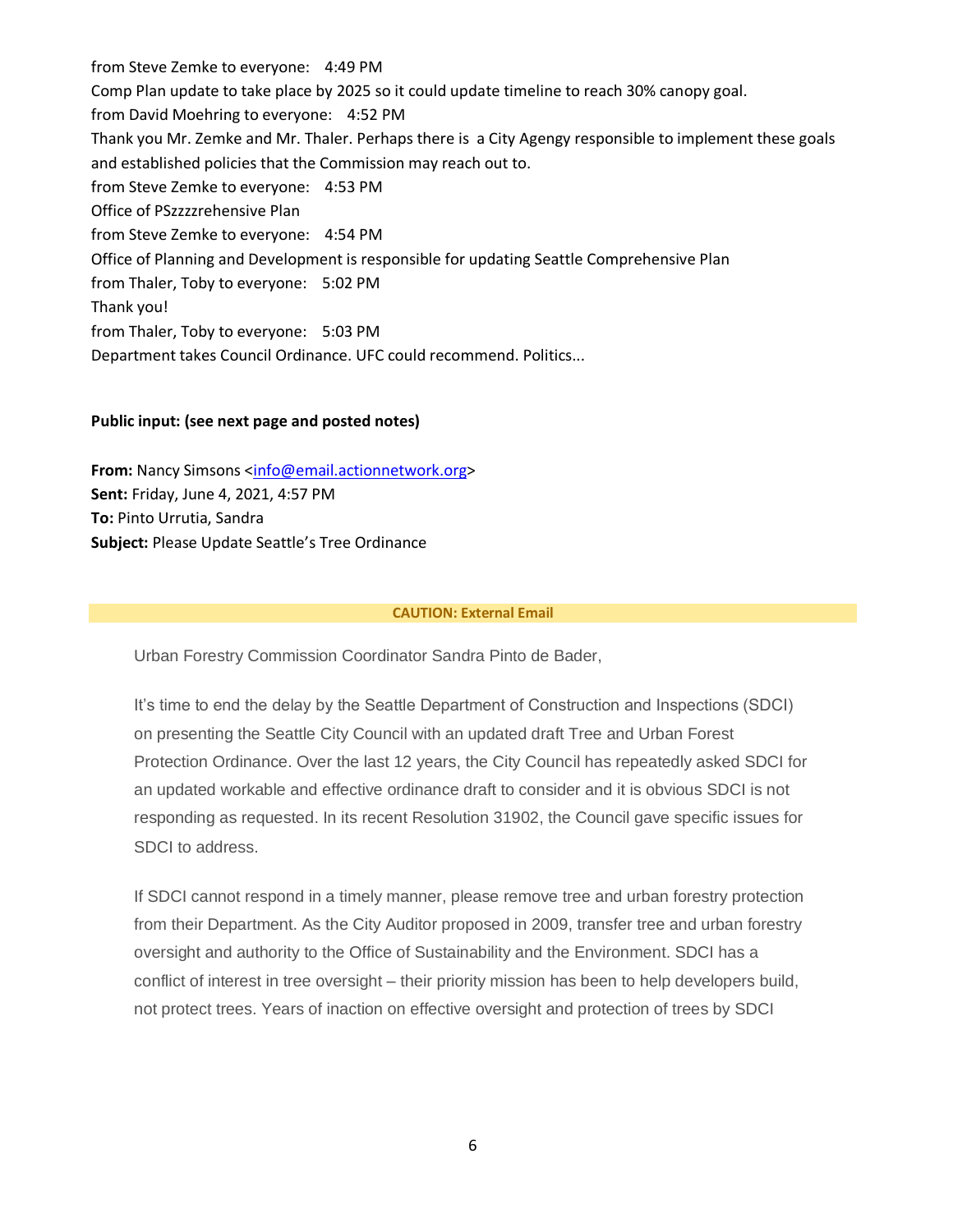from Steve Zemke to everyone: 4:49 PM Comp Plan update to take place by 2025 so it could update timeline to reach 30% canopy goal. from David Moehring to everyone: 4:52 PM Thank you Mr. Zemke and Mr. Thaler. Perhaps there is a City Agengy responsible to implement these goals and established policies that the Commission may reach out to. from Steve Zemke to everyone: 4:53 PM Office of PSzzzzrehensive Plan from Steve Zemke to everyone: 4:54 PM Office of Planning and Development is responsible for updating Seattle Comprehensive Plan from Thaler, Toby to everyone: 5:02 PM Thank you! from Thaler, Toby to everyone: 5:03 PM Department takes Council Ordinance. UFC could recommend. Politics...

#### **Public input: (see next page and posted notes)**

**From:** Nancy Simsons [<info@email.actionnetwork.org>](mailto:info@email.actionnetwork.org) **Sent:** Friday, June 4, 2021, 4:57 PM **To:** Pinto Urrutia, Sandra **Subject:** Please Update Seattle's Tree Ordinance

#### **CAUTION: External Email**

Urban Forestry Commission Coordinator Sandra Pinto de Bader,

It's time to end the delay by the Seattle Department of Construction and Inspections (SDCI) on presenting the Seattle City Council with an updated draft Tree and Urban Forest Protection Ordinance. Over the last 12 years, the City Council has repeatedly asked SDCI for an updated workable and effective ordinance draft to consider and it is obvious SDCI is not responding as requested. In its recent Resolution 31902, the Council gave specific issues for SDCI to address.

If SDCI cannot respond in a timely manner, please remove tree and urban forestry protection from their Department. As the City Auditor proposed in 2009, transfer tree and urban forestry oversight and authority to the Office of Sustainability and the Environment. SDCI has a conflict of interest in tree oversight – their priority mission has been to help developers build, not protect trees. Years of inaction on effective oversight and protection of trees by SDCI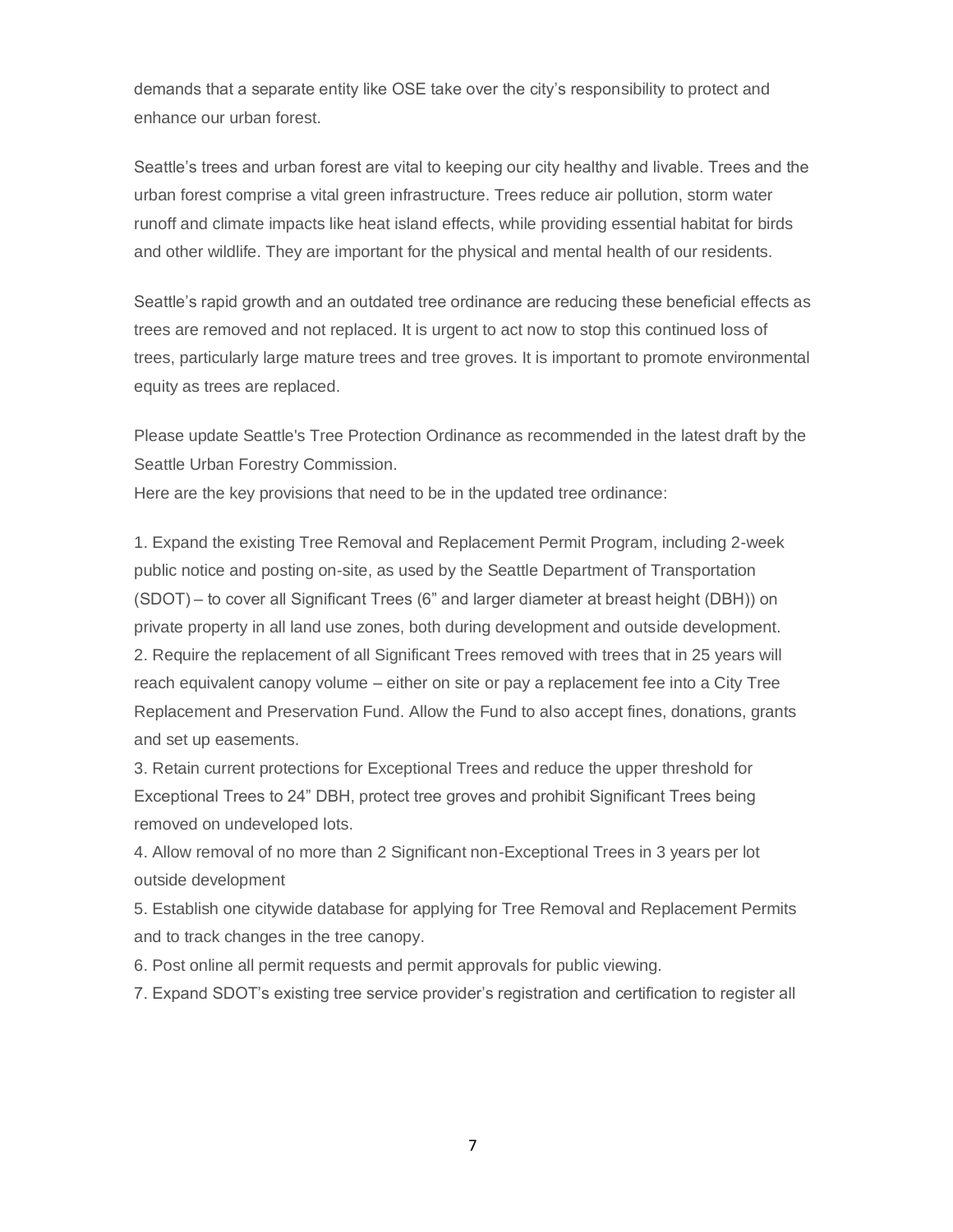demands that a separate entity like OSE take over the city's responsibility to protect and enhance our urban forest.

Seattle's trees and urban forest are vital to keeping our city healthy and livable. Trees and the urban forest comprise a vital green infrastructure. Trees reduce air pollution, storm water runoff and climate impacts like heat island effects, while providing essential habitat for birds and other wildlife. They are important for the physical and mental health of our residents.

Seattle's rapid growth and an outdated tree ordinance are reducing these beneficial effects as trees are removed and not replaced. It is urgent to act now to stop this continued loss of trees, particularly large mature trees and tree groves. It is important to promote environmental equity as trees are replaced.

Please update Seattle's Tree Protection Ordinance as recommended in the latest draft by the Seattle Urban Forestry Commission.

Here are the key provisions that need to be in the updated tree ordinance:

1. Expand the existing Tree Removal and Replacement Permit Program, including 2-week public notice and posting on-site, as used by the Seattle Department of Transportation (SDOT) – to cover all Significant Trees (6" and larger diameter at breast height (DBH)) on private property in all land use zones, both during development and outside development. 2. Require the replacement of all Significant Trees removed with trees that in 25 years will reach equivalent canopy volume – either on site or pay a replacement fee into a City Tree Replacement and Preservation Fund. Allow the Fund to also accept fines, donations, grants and set up easements.

3. Retain current protections for Exceptional Trees and reduce the upper threshold for Exceptional Trees to 24" DBH, protect tree groves and prohibit Significant Trees being removed on undeveloped lots.

4. Allow removal of no more than 2 Significant non-Exceptional Trees in 3 years per lot outside development

5. Establish one citywide database for applying for Tree Removal and Replacement Permits and to track changes in the tree canopy.

6. Post online all permit requests and permit approvals for public viewing.

7. Expand SDOT's existing tree service provider's registration and certification to register all

7